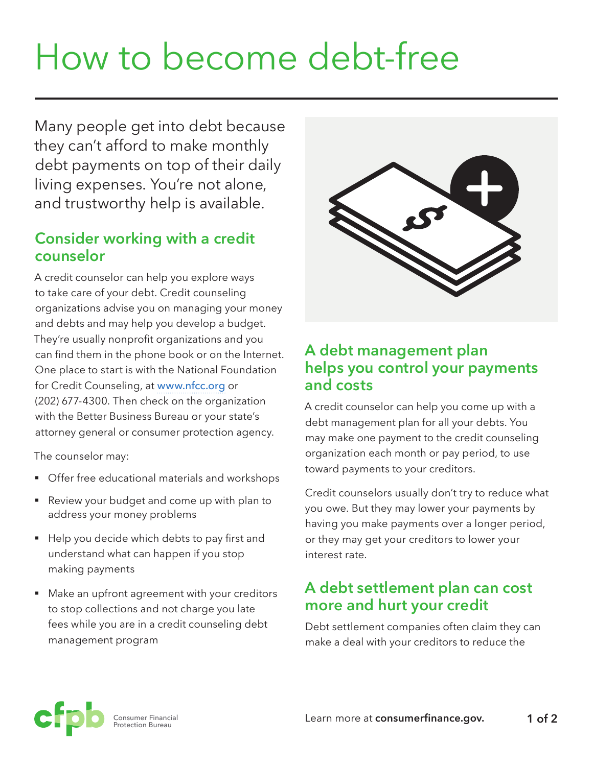# How to become debt-free

Many people get into debt because they can't afford to make monthly debt payments on top of their daily living expenses. You're not alone, and trustworthy help is available.

### **Consider working with a credit counselor**

A credit counselor can help you explore ways to take care of your debt. Credit counseling organizations advise you on managing your money and debts and may help you develop a budget. They're usually nonprofit organizations and you can find them in the phone book or on the Internet. One place to start is with the National Foundation for Credit Counseling, at [www.nfcc.org](http://www.nfcc.org) or (202) 677-4300. Then check on the organization with the Better Business Bureau or your state's attorney general or consumer protection agency.

The counselor may:

- **Offer free educational materials and workshops**
- Review your budget and come up with plan to address your money problems
- Help you decide which debts to pay first and understand what can happen if you stop making payments
- Make an upfront agreement with your creditors to stop collections and not charge you late fees while you are in a credit counseling debt management program



### **A debt management plan helps you control your payments and costs**

A credit counselor can help you come up with a debt management plan for all your debts. You may make one payment to the credit counseling organization each month or pay period, to use toward payments to your creditors.

Credit counselors usually don't try to reduce what you owe. But they may lower your payments by having you make payments over a longer period, or they may get your creditors to lower your interest rate.

## **A debt settlement plan can cost more and hurt your credit**

Debt settlement companies often claim they can make a deal with your creditors to reduce the